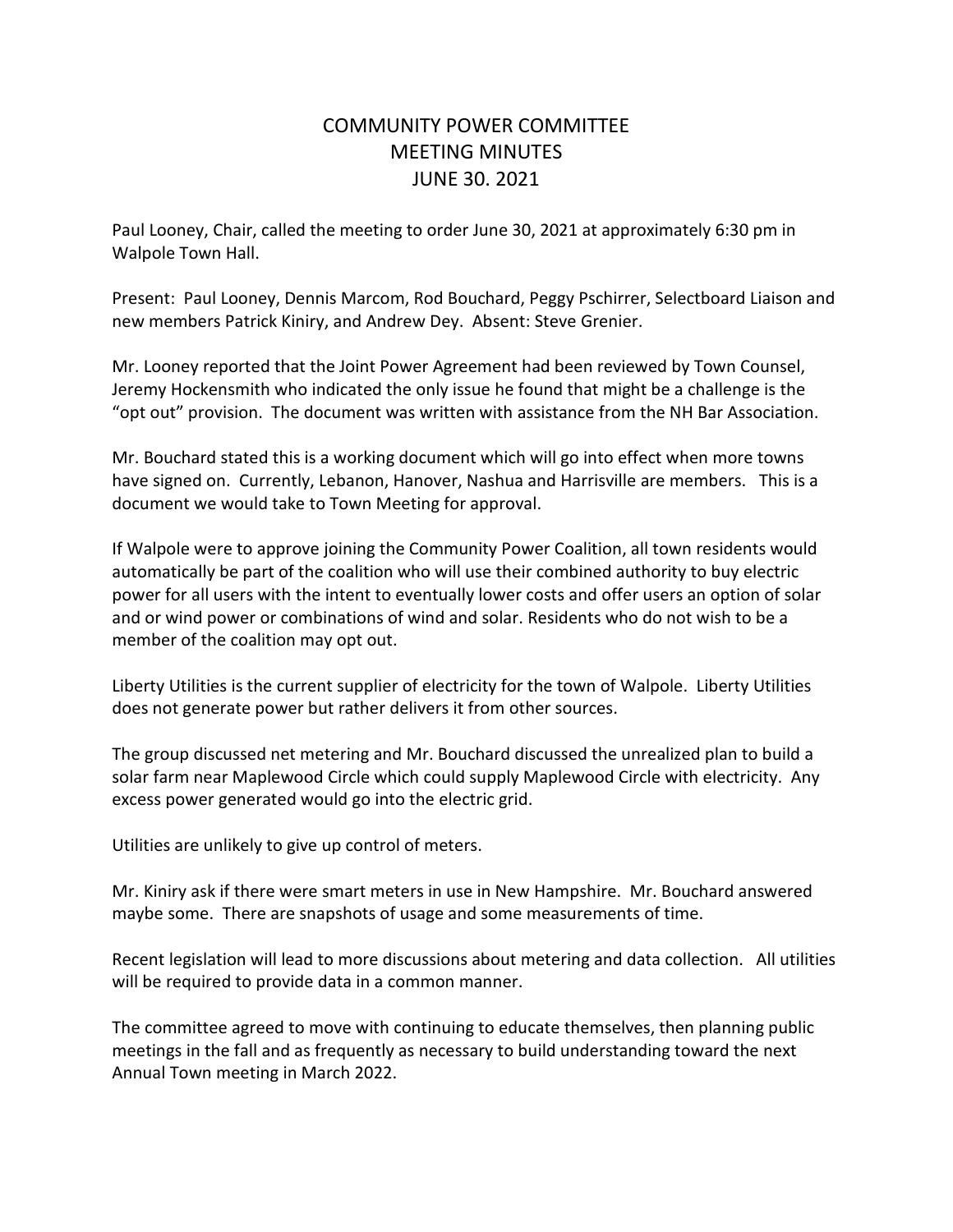## COMMUNITY POWER COMMITTEE MEETING MINUTES JUNE 30. 2021

Paul Looney, Chair, called the meeting to order June 30, 2021 at approximately 6:30 pm in Walpole Town Hall.

Present: Paul Looney, Dennis Marcom, Rod Bouchard, Peggy Pschirrer, Selectboard Liaison and new members Patrick Kiniry, and Andrew Dey. Absent: Steve Grenier.

Mr. Looney reported that the Joint Power Agreement had been reviewed by Town Counsel, Jeremy Hockensmith who indicated the only issue he found that might be a challenge is the "opt out" provision. The document was written with assistance from the NH Bar Association.

Mr. Bouchard stated this is a working document which will go into effect when more towns have signed on. Currently, Lebanon, Hanover, Nashua and Harrisville are members. This is a document we would take to Town Meeting for approval.

If Walpole were to approve joining the Community Power Coalition, all town residents would automatically be part of the coalition who will use their combined authority to buy electric power for all users with the intent to eventually lower costs and offer users an option of solar and or wind power or combinations of wind and solar. Residents who do not wish to be a member of the coalition may opt out.

Liberty Utilities is the current supplier of electricity for the town of Walpole. Liberty Utilities does not generate power but rather delivers it from other sources.

The group discussed net metering and Mr. Bouchard discussed the unrealized plan to build a solar farm near Maplewood Circle which could supply Maplewood Circle with electricity. Any excess power generated would go into the electric grid.

Utilities are unlikely to give up control of meters.

Mr. Kiniry ask if there were smart meters in use in New Hampshire. Mr. Bouchard answered maybe some. There are snapshots of usage and some measurements of time.

Recent legislation will lead to more discussions about metering and data collection. All utilities will be required to provide data in a common manner.

The committee agreed to move with continuing to educate themselves, then planning public meetings in the fall and as frequently as necessary to build understanding toward the next Annual Town meeting in March 2022.